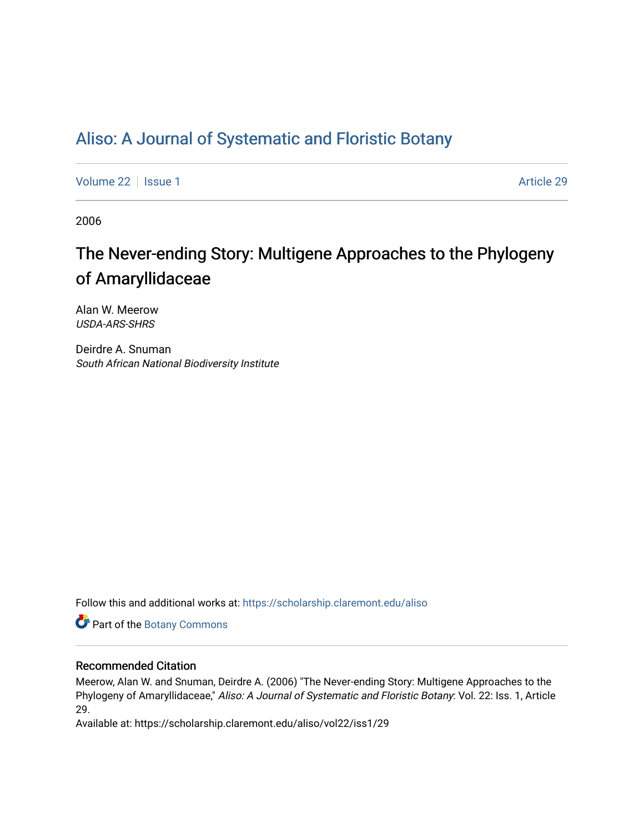## [Aliso: A Journal of Systematic and Floristic Botany](https://scholarship.claremont.edu/aliso)

[Volume 22](https://scholarship.claremont.edu/aliso/vol22) | [Issue 1](https://scholarship.claremont.edu/aliso/vol22/iss1) Article 29

2006

# The Never-ending Story: Multigene Approaches to the Phylogeny of Amaryllidaceae

Alan W. Meerow USDA-ARS-SHRS

Deirdre A. Snuman South African National Biodiversity Institute

Follow this and additional works at: [https://scholarship.claremont.edu/aliso](https://scholarship.claremont.edu/aliso?utm_source=scholarship.claremont.edu%2Faliso%2Fvol22%2Fiss1%2F29&utm_medium=PDF&utm_campaign=PDFCoverPages) 

Part of the [Botany Commons](https://network.bepress.com/hgg/discipline/104?utm_source=scholarship.claremont.edu%2Faliso%2Fvol22%2Fiss1%2F29&utm_medium=PDF&utm_campaign=PDFCoverPages) 

### Recommended Citation

Meerow, Alan W. and Snuman, Deirdre A. (2006) "The Never-ending Story: Multigene Approaches to the Phylogeny of Amaryllidaceae," Aliso: A Journal of Systematic and Floristic Botany: Vol. 22: Iss. 1, Article 29.

Available at: https://scholarship.claremont.edu/aliso/vol22/iss1/29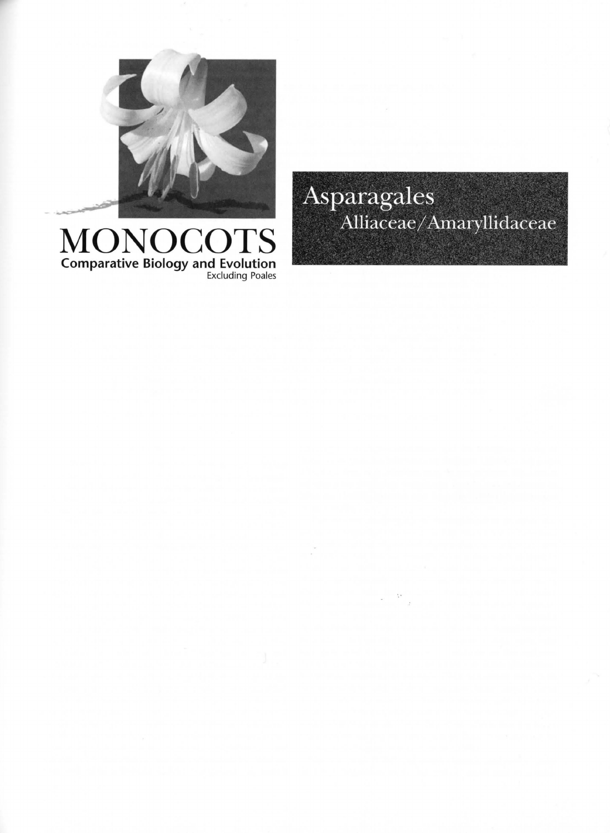

## MONOCOTS Comparative Biology and Evolution Excluding Poales

Asparagales Alliaceae/Amaryllidaceae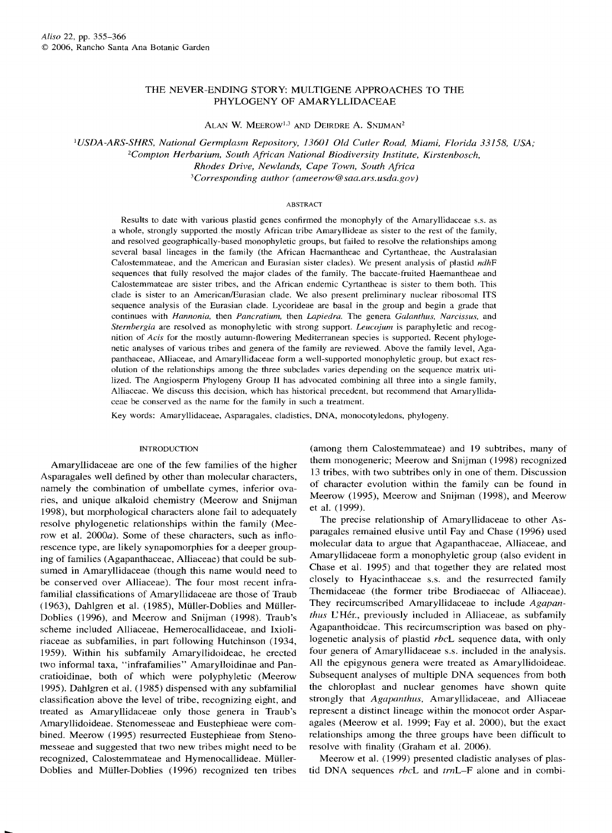#### THE NEVER-ENDING STORY: MULTIGENE APPROACHES TO THE PHYLOGENY OF AMARYLLIDACEAE

ALAN W. MEEROW<sup>1,3</sup> AND DEIRDRE A. SNIJMAN<sup>2</sup>

<sup>1</sup>*USDA-ARS-SHRS, National Germplasm Repository, 13601 Old Cutler Road, Miami, Florida 33158, USA; 2Compton Herbarium, South African National Biodiversity Institute, Kirstenbosch, Rhodes Drive, Newlands, Cape Town, South Africa 3Corresponding author ( ameerow@saa.ars.usda.gov)* 

#### ABSTRACT

Results to date with various plastid genes confirmed the monophyly of the Amaryllidaceae s.s. as a whole, strongly supported the mostly African tribe Amaryllideae as sister to the rest of the family, and resolved geographically-based monophyletic groups, but failed to resolve the relationships among several basal lineages in the family (the African Haemantheae and Cyrtantheae, the Australasian Calostemmateae, and the American and Eurasian sister clades). We present analysis of plastid *ndhF*  sequences that fully resolved the major clades of the family. The baccate-fruited Haemantheae and Calostemmateae are sister tribes, and the African endemic Cyrtantheae is sister to them both. This clade is sister to an American/Eurasian clade. We also present preliminary nuclear ribosomal ITS sequence analysis of the Eurasian clade. Lycorideae are basal in the group and begin a grade that continues with *Hannonia,* then *Pancratium,* then *Lapiedra.* The genera *Galanthus, Narcissus,* and *Sternhergia* are resolved as monophyletic with strong support. *Leucojum* is paraphyletic and recognition of *Acis* for the mostly autumn-flowering Mediterranean species is supported. Recent phylogenetic analyses of various tribes and genera of the family are reviewed. Above the family level, Agapanthaceae, Alliaceae, and Amaryllidaceae form a well-supported monophyletic group, but exact resolution of the relationships among the three subclades varies depending on the sequence matrix utilized. The Angiosperm Phylogeny Group II has advocated combining all three into a single family, Alliaceae. We discuss this decision, which has historical precedent, but recommend that Amaryllidaceae be conserved as the name for the family in such a treatment.

Key words: Amaryllidaceae, Asparagales, cladistics, DNA, monocotyledons, phylogeny.

#### INTRODUCTION

Amaryllidaceae are one of the few families of the higher Asparagales well defined by other than molecular characters, namely the combination of umbellate cymes, inferior ovaries, and unique alkaloid chemistry (Meerow and Snijman 1998), but morphological characters alone fail to adequately resolve phylogenetic relationships within the family (Meerow et al. 2000a). Some of these characters, such as inflorescence type, are likely synapomorphies for a deeper grouping of families (Agapanthaceae, Alliaceae) that could be subsumed in Amaryllidaceae (though this name would need to be conserved over Alliaceae). The four most recent infrafamilial classifications of Amaryllidaceae are those of Traub (1963), Dahlgren et al. (1985), Miiller-Doblies and Miiller-Doblies (1996), and Meerow and Snijman (1998). Traub's scheme included Alliaceae, Hemerocallidaceae, and Ixioliriaceae as subfamilies, in part following Hutchinson (1934, 1959). Within his subfamily Amaryllidoideae, he erected two informal taxa, "infrafamilies" Amarylloidinae and Pancratioidinae, both of which were polyphyletic (Meerow 1995). Dahlgren et al. (1985) dispensed with any subfamilial classification above the level of tribe, recognizing eight, and treated as Amaryllidaceae only those genera in Traub's Amaryllidoideae. Stenomesseae and Eustephieae were combined. Meerow (1995) resurrected Eustephieae from Stenomesseae and suggested that two new tribes might need to be recognized, Calostemmateae and Hymenocallideae. Miiller-Doblies and Miiller-Doblies ( 1996) recognized ten tribes

(among them Calostemmateae) and 19 subtribes, many of them monogeneric; Meerow and Snijman ( 1998) recognized 13 tribes, with two subtribes only in one of them. Discussion of character evolution within the family can be found in Meerow (1995), Meerow and Snijman (1998), and Meerow et al. (1999).

The precise relationship of Amaryllidaceae to other Asparagales remained elusive until Fay and Chase (1996) used molecular data to argue that Agapanthaceae, Alliaceae, and Amaryllidaceae form a monophyletic group (also evident in Chase et al. 1995) and that together they are related most closely to Hyacinthaceae s.s. and the resurrected family Themidaceae (the former tribe Brodiaeeae of Alliaceae). They recircumscribed Amaryllidaceae to include *Agapan*thus L'Hér., previously included in Alliaceae, as subfamily Agapanthoideae. This recircumscription was based on phylogenetic analysis of plastid *rbcL* sequence data, with only four genera of Amaryllidaceae s.s. included in the analysis. All the epigynous genera were treated as Amaryllidoideae. Subsequent analyses of multiple DNA sequences from both the chloroplast and nuclear genomes have shown quite strongly that *Agapanthus,* Amaryllidaceae, and Alliaceae represent a distinct lineage within the monocot order Asparagales (Meerow et al. 1999; Fay et al. 2000), but the exact relationships among the three groups have been difficult to resolve with finality (Graham et al. 2006).

Meerow et al. (1999) presented cladistic analyses of plastid DNA sequences *rbcL* and *trnL-F* alone and in combi-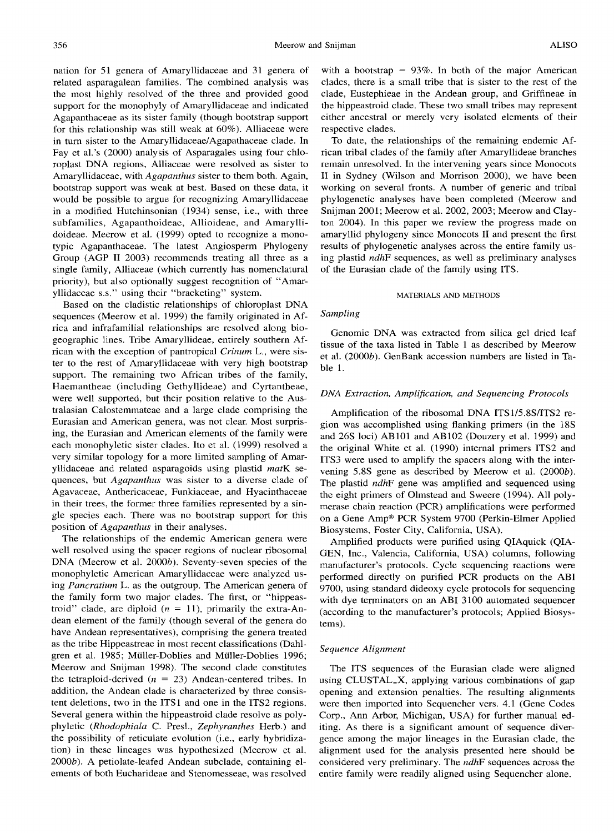nation for 51 genera of Amaryllidaceae and 31 genera of related asparagalean families. The combined analysis was the most highly resolved of the three and provided good support for the monophyly of Amaryllidaceae and indicated Agapanthaceae as its sister family (though bootstrap support for this relationship was still weak at 60% ). Alliaceae were in turn sister to the Amaryllidaceae/Agapathaceae clade. In Fay et al. 's (2000) analysis of Asparagales using four chloroplast DNA regions, Alliaceae were resolved as sister to Amaryllidaceae, with *Agapanthus* sister to them both. Again, bootstrap support was weak at best. Based on these data, it would be possible to argue for recognizing Amaryllidaceae in a modified Hutchinsonian ( 1934) sense, i.e., with three subfamilies, Agapanthoideae, Allioideae, and Amaryllidoideae. Meerow et al. (1999) opted to recognize a monotypic Agapanthaceae. The latest Angiosperm Phylogeny Group (AGP II 2003) recommends treating all three as a single family, Alliaceae (which currently has nomenclatural priority), but also optionally suggest recognition of "Amaryllidaceae s.s." using their "bracketing" system.

Based on the cladistic relationships of chloroplast DNA sequences (Meerow et al. 1999) the family originated in Africa and infrafamilial relationships are resolved along biogeographic lines. Tribe Amaryllideae, entirely southern African with the exception of pantropical *Crinum* L., were sister to the rest of Amaryllidaceae with very high bootstrap support. The remaining two African tribes of the family, Haemantheae (including Gethyllideae) and Cyrtantheae, were well supported, but their position relative to the Australasian Calostemmateae and a large clade comprising the Eurasian and American genera, was not clear. Most surprising, the Eurasian and American elements of the family were each monophyletic sister clades. Ito et al. (1999) resolved a very similar topology for a more limited sampling of Amaryllidaceae and related asparagoids using plastid *matK* sequences, but *Agapanthus* was sister to a diverse clade of Agavaceae, Anthericaceae, Funkiaceae, and Hyacinthaceae in their trees, the former three families represented by a single species each. There was no bootstrap support for this position of *Agapanthus* in their analyses.

The relationships of the endemic American genera were well resolved using the spacer regions of nuclear ribosomal DNA (Meerow et al. 2000b). Seventy-seven species of the monophyletic American Amaryllidaceae were analyzed using *Pancratium* L. as the outgroup. The American genera of the family form two major clades. The first, or "hippeastroid" clade, are diploid  $(n = 11)$ , primarily the extra-Andean element of the family (though several of the genera do have Andean representatives), comprising the genera treated as the tribe Hippeastreae in most recent classifications (Dahlgren et al. 1985; Miiller-Doblies and Miiller-Doblies 1996; Meerow and Snijman 1998). The second clade constitutes the tetraploid-derived  $(n = 23)$  Andean-centered tribes. In addition, the Andean clade is characterized by three consistent deletions, two in the ITS1 and one in the ITS2 regions. Several genera within the hippeastroid clade resolve as polyphyletic *(Rhodophiala* C. Presl., *Zephyranthes* Herb.) and the possibility of reticulate evolution (i.e., early hybridization) in these lineages was hypothesized (Meerow et al. 2000b). A petiolate-leafed Andean subclade, containing elements of both Eucharideae and Stenomesseae, was resolved

with a bootstrap =  $93\%$ . In both of the major American clades, there is a small tribe that is sister to the rest of the clade, Eustephieae in the Andean group, and Griffineae in the hippeastroid clade. These two small tribes may represent either ancestral or merely very isolated elements of their respective clades.

To date, the relationships of the remaining endemic African tribal clades of the family after Amaryllideae branches remain unresolved. In the intervening years since Monocots II in Sydney (Wilson and Morrison 2000), we have been working on several fronts. A number of generic and tribal phylogenetic analyses have been completed (Meerow and Snijman 2001; Meerow et al. 2002, 2003; Meerow and Clayton 2004). In this paper we review the progress made on amaryllid phylogeny since Monocots II and present the first results of phylogenetic analyses across the entire family using plastid *ndhF* sequences, as well as preliminary analyses of the Eurasian clade of the family using ITS.

#### MATERIALS AND METHODS

#### *Sampling*

Genomic DNA was extracted from silica gel dried leaf tissue of the taxa listed in Table 1 as described by Meerow et al. (2000b). GenBank accession numbers are listed in Table 1.

#### *DNA Extraction, Amplification, and Sequencing Protocols*

Amplification of the ribosomal DNA ITS1/5.8S/ITS2 region was accomplished using flanking primers (in the 18S and 26S loci) ABlOl and AB102 (Douzery et al. 1999) and the original White et al. (1990) internal primers ITS2 and ITS3 were used to amplify the spacers along with the intervening 5.8S gene as described by Meerow et al. (2000b). The plastid *ndhF* gene was amplified and sequenced using the eight primers of Olmstead and Sweere (1994). All polymerase chain reaction (PCR) amplifications were performed on a Gene Amp® PCR System 9700 (Perkin-Elmer Applied Biosystems, Foster City, California, USA).

Amplified products were purified using QIAquick (QIA-GEN, Inc., Valencia, California, USA) columns, following manufacturer's protocols. Cycle sequencing reactions were performed directly on purified PCR products on the ABI 9700, using standard dideoxy cycle protocols for sequencing with dye terminators on an ABI 3100 automated sequencer (according to the manufacturer's protocols; Applied Biosystems).

#### *Sequence Alignment*

The ITS sequences of the Eurasian clade were aligned using CLUSTAL\_X, applying various combinations of gap opening and extension penalties. The resulting alignments were then imported into Sequencher vers. 4.1 (Gene Codes Corp., Ann Arbor, Michigan, USA) for further manual editing. As there is a significant amount of sequence divergence among the major lineages in the Eurasian clade, the alignment used for the analysis presented here should be considered very preliminary. The *ndhF* sequences across the entire family were readily aligned using Sequencher alone.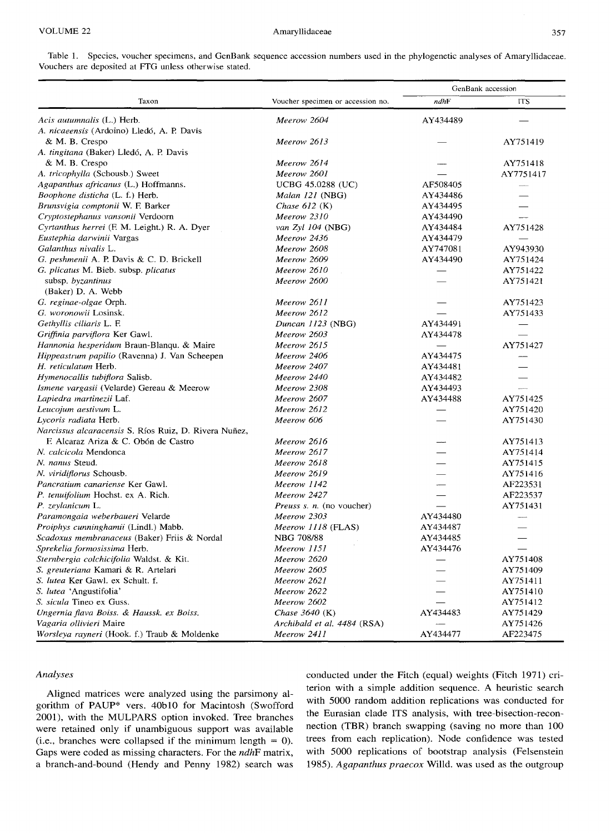Table I. Species, voucher specimens, and GenBank sequence accession numbers used in the phylogenetic analyses of Amaryllidaceae. Vouchers are deposited at FfG unless otherwise stated.

|                                                       |                                   | GenBank accession |                          |
|-------------------------------------------------------|-----------------------------------|-------------------|--------------------------|
| Taxon                                                 | Voucher specimen or accession no. | ndhF              | <b>ITS</b>               |
| Acis autumnalis (L.) Herb.                            | Meerow 2604                       | AY434489          |                          |
| A. nicaeensis (Ardoino) Lledó, A. P. Davis            |                                   |                   |                          |
| & M. B. Crespo                                        | Meerow 2613                       |                   | AY751419                 |
| A. tingitana (Baker) Lledó, A. P. Davis               |                                   |                   |                          |
| & M. B. Crespo                                        | Meerow 2614                       |                   | AY751418                 |
| A. tricophylla (Schousb.) Sweet                       | Meerow 2601                       |                   | AY7751417                |
| Agapanthus africanus (L.) Hoffmanns.                  | <b>UCBG 45.0288 (UC)</b>          | AF508405          |                          |
| <i>Boophone disticha</i> (L. f.) Herb.                | Malan 121 (NBG)                   | AY434486          |                          |
| Brunsvigia comptonii W. F. Barker                     | Chase $612$ (K)                   | AY434495          |                          |
| Cryptostephanus vansonii Verdoorn                     | Meerow 2310                       | AY434490          | $\overline{\phantom{0}}$ |
| Cyrtanthus herrei (F. M. Leight.) R. A. Dyer          | van $Zyl$ 104 (NBG)               | AY434484          | AY751428                 |
| Eustephia darwinii Vargas                             | Meerow 2436                       | AY434479          |                          |
| Galanthus nivalis L.                                  | Meerow 2608                       | AY747081          | AY943930                 |
| G. peshmenii A. P. Davis & C. D. Brickell             | Meerow 2609                       | AY434490          | AY751424                 |
| G. plicatus M. Bieb. subsp. plicatus                  | Meerow 2610                       |                   | AY751422                 |
| subsp. byzantinus                                     | Meerow 2600                       |                   | AY751421                 |
| (Baker) D. A. Webb                                    |                                   |                   |                          |
| G. reginae-olgae Orph.                                | Meerow 2611                       |                   | AY751423                 |
| G. woronowii Losinsk.                                 | Meerow 2612                       |                   | AY751433                 |
| Gethyllis ciliaris L. F.                              | Duncan 1123 (NBG)                 | AY434491          |                          |
| Griffinia parviflora Ker Gawl.                        | Meerow 2603                       | AY434478          |                          |
| <i>Hannonia hesperidum</i> Braun-Blanqu. & Maire      | Meerow 2615                       |                   | AY751427                 |
| Hippeastrum papilio (Ravenna) J. Van Scheepen         | Meerow 2406                       | AY434475          |                          |
| H. reticulatum Herb.                                  | Meerow 2407                       | AY434481          |                          |
| <i>Hymenocallis tubiflora Salisb.</i>                 | Meerow 2440                       | AY434482          |                          |
| <i>Ismene vargasii</i> (Velarde) Gereau & Meerow      | Meerow 2308                       | AY434493          |                          |
| Lapiedra martinezii Laf.                              | Meerow 2607                       | AY434488          | AY751425                 |
| Leucojum aestivum L.                                  | Meerow 2612                       |                   | AY751420                 |
| Lycoris radiata Herb.                                 | Meerow 606                        |                   | AY751430                 |
| Narcissus alcaracensis S. Ríos Ruiz, D. Rivera Nuñez, |                                   |                   |                          |
| F. Alcaraz Ariza & C. Obón de Castro                  | Meerow 2616                       |                   | AY751413                 |
| N. calcicola Mendonca                                 | Meerow 2617                       |                   | AY751414                 |
| N. nanus Steud.                                       | Meerow 2618                       |                   | AY751415                 |
| N. viridiflorus Schousb.                              | Meerow 2619                       |                   | AY751416                 |
| Pancratium canariense Ker Gawl.                       | Meerow 1142                       |                   | AF223531                 |
| P. tenuifolium Hochst. ex A. Rich.                    | Meerow 2427                       |                   | AF223537                 |
| P. zeylanicum L.                                      | <i>Preuss s. n.</i> (no voucher)  |                   | AY751431                 |
| Paramongaia weberbaueri Velarde                       | Meerow 2303                       | AY434480          |                          |
| <i>Proiphys cunninghamii</i> (Lindl.) Mabb.           | Meerow 1118 (FLAS)                | AY434487          |                          |
| Scadoxus membranaceus (Baker) Friis & Nordal          | NBG 708/88                        | AY434485          |                          |
| Sprekelia formosissima Herb.                          | Meerow 1151                       | AY434476          |                          |
| Sternbergia colchicifolia Waldst. & Kit.              | Meerow 2620                       |                   | AY751408                 |
| <i>S. greuteriana</i> Kamari & R. Artelari            | Meerow 2605                       |                   | AY751409                 |
| S. lutea Ker Gawl. ex Schult. f.                      | Meerow 2621                       |                   | AY751411                 |
| S. lutea 'Angustifolia'                               | Meerow 2622                       |                   | AY751410                 |
| S. sicula Tineo ex Guss.                              | Meerow 2602                       |                   | AY751412                 |
| Ungernia flava Boiss. & Haussk. ex Boiss.             | Chase $3640$ (K)                  | AY434483          | AY751429                 |
| Vagaria ollivieri Maire                               | Archibald et al. 4484 (RSA)       |                   | AY751426                 |
| Worsleya rayneri (Hook. f.) Traub & Moldenke          | Meerow 2411                       | AY434477          | AF223475                 |

#### *Analyses*

Aligned matrices were analyzed using the parsimony algorithm of PAUP\* vers. 40bl0 for Macintosh (Swofford 2001), with the MULPARS option invoked. Tree branches were retained only if unambiguous support was available (i.e., branches were collapsed if the minimum length  $= 0$ ). Gaps were coded as missing characters. For the *ndhF* matrix, a branch-and-bound (Hendy and Penny 1982) search was conducted under the Fitch (equal) weights (Fitch 1971) criterion with a simple addition sequence. A heuristic search with 5000 random addition replications was conducted for the Eurasian clade ITS analysis, with tree-bisection-reconnection (TBR) branch swapping (saving no more than 100 trees from each replication). Node confidence was tested with 5000 replications of bootstrap analysis (Felsenstein 1985). *Agapanthus praecox* Willd. was used as the outgroup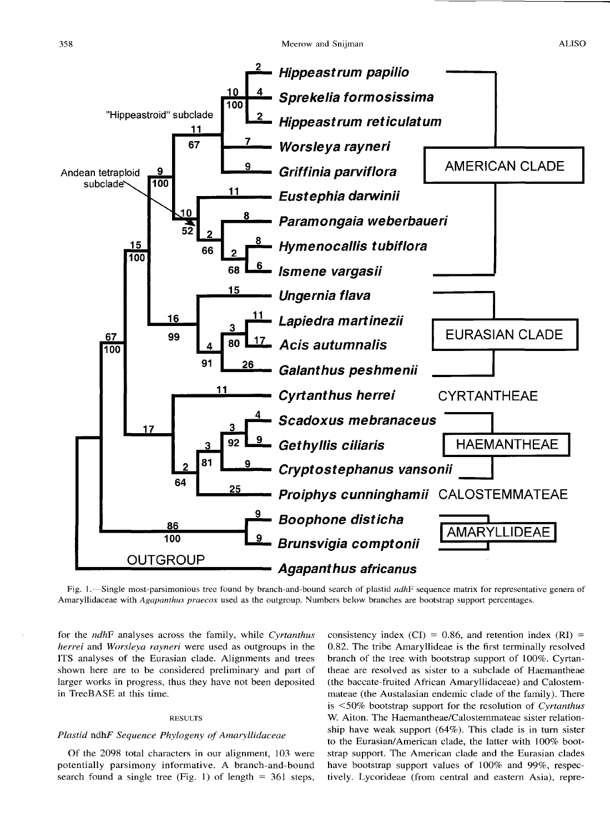

Fig. I.-Single most-parsimonious tree found by branch-and-bound search of plastid *ndhF* sequence matrix for representative genera of Amaryllidaceae with *Agapanthus praecox* used as the outgroup. Numbers below branches are bootstrap support percentages.

for the *ndhF* analyses across the family, while *Cyrtanthus herrei* and *Worsleya rayneri* were used as outgroups in the ITS analyses of the Eurasian clade. Alignments and trees shown here are to be considered preliminary and part of larger works in progress, thus they have not been deposited in TreeBASE at this time.

#### RESULTS

#### *Plastid* ndhF *Sequence Phylogeny of Amaryllidaceae*

Of the 2098 total characters in our alignment, 103 were potentially parsimony informative. A branch-and-bound search found a single tree (Fig. 1) of length  $= 361$  steps,

consistency index (CI) = 0.86, and retention index (RI) = 0.82. The tribe Amaryllideae is the first terminally resolved branch of the tree with bootstrap support of 100%. Cyrtantheae are resolved as sister to a subclade of Haemantheae (the baccate-fruited African Amaryllidaceae) and Calostemmateae (the Austalasian endemic clade of the family). There is <50% bootstrap support for the resolution of *Cyrtanthus*  W. Aiton. The Haemantheae/Calostemmateae sister relationship have weak support (64%). This clade is in tum sister to the Eurasian/American clade, the latter with 100% bootstrap support. The American clade and the Eurasian clades have bootstrap support values of 100% and 99%, respectively. Lycorideae (from central and eastern Asia), repre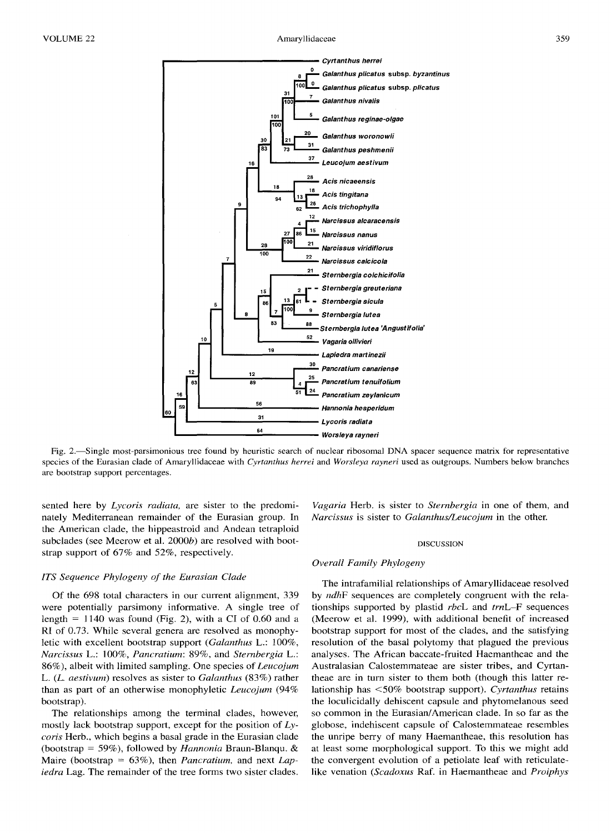**r----------------** Cyrtanthus herrei





Fig. 2.-Single most-parsimonious tree found by heuristic search of nuclear ribosomal DNA spacer sequence matrix for representative species of the Eurasian clade of Amaryllidaceae with *Cyrtanthus herrei* and *Worsleya rayneri* used as outgroups. Numbers below branches are bootstrap support percentages.

sented here by *Lycoris radiata,* are sister to the predominately Mediterranean remainder of the Eurasian group. In the American clade, the hippeastroid and Andean tetraploid subclades (see Meerow et al.  $2000b$ ) are resolved with bootstrap support of 67% and 52%, respectively.

#### *ITS Sequence Phylogeny of the Eurasian Clade*

Of the 698 total characters in our current alignment, 339 were potentially parsimony informative. A single tree of length =  $1140$  was found (Fig. 2), with a CI of 0.60 and a RI of 0.73. While several genera are resolved as monophyletic with excellent bootstrap support *(Galanthus* L.: 100%, *Narcissus* L.: 100%, *Pancratium:* 89%, and *Sternbergia* L.: 86% ), albeit with limited sampling. One species of *Leucojum*  L. (L. *aestivum)* resolves as sister to *Galanthus* (83%) rather than as part of an otherwise monophyletic *Leucojum* (94% bootstrap).

The relationships among the terminal clades, however, mostly lack bootstrap support, except for the position of *Lycoris* Herb., which begins a basal grade in the Eurasian clade (bootstrap= 59%), followed by *Hannonia* Braun-Blanqu. & Maire (bootstrap = 63% ), then *Pancratium,* and next *Lapiedra* Lag. The remainder of the tree forms two sister clades.

*Vagaria* Herb. is sister to *Sternbergia* in one of them, and *Narcissus* is sister to *Galanthus/Leucojum* in the other.

#### DISCUSSION

#### *Overall Family Phylogeny*

The intrafamilial relationships of Amaryllidaceae resolved by *ndhF* sequences are completely congruent with the relationships supported by plastid *rbcL* and *trnL-F* sequences (Meerow et al. 1999), with additional benefit of increased bootstrap support for most of the clades, and the satisfying resolution of the basal polytomy that plagued the previous analyses. The African baccate-fruited Haemantheae and the Australasian Calostemmateae are sister tribes, and Cyrtantheae are in tum sister to them both (though this latter relationship has <50% bootstrap support). *Cyrtanthus* retains the loculicidally dehiscent capsule and phytomelanous seed so common in the Eurasian/ American clade. In so far as the globose, indehiscent capsule of Calostemmateae resembles the unripe berry of many Haemantheae, this resolution has at least some morphological support. To this we might add the convergent evolution of a petiolate leaf with reticulatelike venation *(Scadoxus* Raf. in Haemantheae and *Proiphys*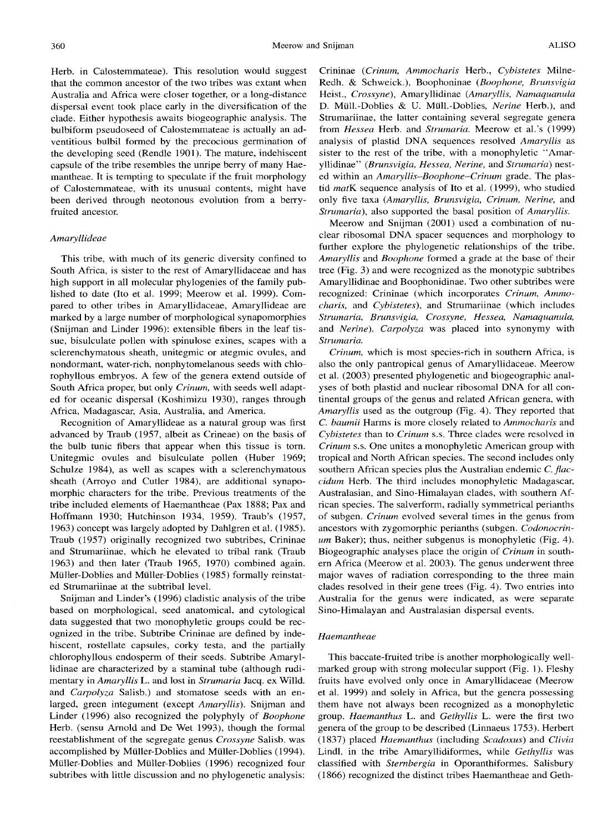Herb. in Calostemmateae). This resolution would suggest that the common ancestor of the two tribes was extant when Australia and Africa were closer together, or a long-distance dispersal event took place early in the diversification of the clade. Either hypothesis awaits biogeographic analysis. The bulbiform pseudoseed of Calostemmateae is actually an adventitious bulbil formed by the precocious germination of the developing seed (Rendle 1901). The mature, indehiscent capsule of the tribe resembles the unripe berry of many Haemantheae. It is tempting to speculate if the fruit morphology of Calostemmateae, with its unusual contents, might have been derived through neotonous evolution from a berryfruited ancestor.

#### *Amaryllideae*

This tribe, with much of its generic diversity confined to South Africa, is sister to the rest of Amaryllidaceae and has high support in all molecular phylogenies of the family published to date (Ito et al. 1999; Meerow et al. 1999). Compared to other tribes in Amaryllidaceae, Amaryllideae are marked by a large number of morphological synapomorphies (Snijman and Linder 1996): extensible fibers in the leaf tissue, bisulculate pollen with spinulose exines, scapes with a sclerenchymatous sheath, unitegmic or ategmic ovules, and nondormant, water-rich, nonphytomelanous seeds with chlorophyllous embryos. A few of the genera extend outside of South Africa proper, but only *Crinum,* with seeds well adapted for oceanic dispersal (Koshimizu 1930), ranges through Africa, Madagascar, Asia, Australia, and America.

Recognition of Amaryllideae as a natural group was first advanced by Traub ( 1957, albeit as Crineae) on the basis of the bulb tunic fibers that appear when this tissue is torn. Unitegmic ovules and bisulculate pollen (Huber 1969; Schulze 1984), as well as scapes with a sclerenchymatous sheath (Arroyo and Cutler 1984), are additional synapomorphic characters for the tribe. Previous treatments of the tribe included elements of Haemantheae (Pax 1888; Pax and Hoffmann 1930; Hutchinson 1934, 1959). Traub's (1957, 1963) concept was largely adopted by Dahlgren et al. (1985). Traub (1957) originally recognized two subtribes, Crininae and Strumariinae, which he elevated to tribal rank (Traub 1963) and then later (Traub 1965, 1970) combined again. Miiller-Doblies and Miiller-Doblies (1985) formally reinstated Strumariinae at the subtribal level.

Snijman and Linder's (1996) cladistic analysis of the tribe based on morphological, seed anatomical, and cytological data suggested that two monophyletic groups could be recognized in the tribe. Subtribe Crininae are defined by indehiscent, rostellate capsules, corky testa, and the partially chlorophyllous endosperm of their seeds. Subtribe Amaryllidinae are characterized by a staminal tube (although rudimentary in *Amaryllis* L. and lost in *Strumaria* Jacq. ex Willd. and *Carpolyza* Salish.) and stomatose seeds with an enlarged, green integument (except *Amaryllis).* Snijman and Linder (1996) also recognized the polyphyly of *Boophone*  Herb. (sensu Arnold and De Wet 1993), though the formal reestablishment of the segregate genus *Crossyne* Salish. was accomplished by Miiller-Doblies and Miiller-Doblies (1994). Miiller-Doblies and Miiller-Doblies (1996) recognized four subtribes with little discussion and no phylogenetic analysis: Crininae ( *Crinum, Ammocharis* Herb., *Cybistetes* Milne-Redh. & Schweick.), Boophoninae *(Boophone, Brunsvigia*  Heist., *Crossyne),* Amaryllidinae *(Amaryllis, Namaquanula*  D. Miill.-Doblies & U. Miill.-Doblies, *Nerine* Herb.), and Strumariinae, the latter containing several segregate genera from *Hessea* Herb. and *Strumaria.* Meerow et al.'s (1999) analysis of plastid DNA sequences resolved *Amaryllis* as sister to the rest of the tribe, with a monophyletic "Amaryllidinae" *(Brunsvigia, Hessea, Nerine,* and *Strumaria)* nested within an *Amaryllis-Boophone-Crinum* grade. The plastid *matK* sequence analysis of Ito et al. (1999), who studied only five taxa *(Amaryllis, Brunsvigia, Crinum, Nerine,* and *Strumaria),* also supported the basal position of *Amaryllis.* 

Meerow and Snijman (2001) used a combination of nuclear ribosomal DNA spacer sequences and morphology to further explore the phylogenetic relationships of the tribe. *Amaryllis* and *Boophone* formed a grade at the base of their tree (Fig. 3) and were recognized as the monotypic subtribes Amaryllidinae and Boophonidinae. Two other subtribes were recognized: Crininae (which incorporates *Crinum, Ammocharis,* and *Cybistetes),* and Strumariinae (which includes *Strumaria, Brunsvigia, Crossyne, Hessea, Namaquanula,*  and *Nerine). Carpolyza* was placed into synonymy with *Strumaria.* 

*Crinum,* which is most species-rich in southern Africa, is also the only pantropical genus of Amaryllidaceae. Meerow et al. (2003) presented phylogenetic and biogeographic analyses of both plastid and nuclear ribosomal DNA for all continental groups of the genus and related African genera, with *Amaryllis* used as the outgroup (Fig. 4). They reported that C. *baumii* Harms is more closely related to *Ammocharis* and *Cybistetes* than to *Crinum* s.s. Three clades were resolved in *Crinum* s.s. One unites a monophyletic American group with tropical and North African species. The second includes only southern African species plus the Australian endemic C. *fiaccidum* Herb. The third includes monophyletic Madagascar, Australasian, and Sino-Himalayan clades, with southern African species. The salverform, radially symmetrical perianths of subgen. *Crinum* evolved several times in the genus from ancestors with zygomorphic perianths (subgen. *Codonocrinum* Baker); thus, neither subgenus is monophyletic (Fig. 4). Biogeographic analyses place the origin of *Crinum* in southern Africa (Meerow et al. 2003). The genus underwent three major waves of radiation corresponding to the three main clades resolved in their gene trees (Fig. 4). Two entries into Australia for the genus were indicated, as were separate Sino-Himalayan and Australasian dispersal events.

#### *Haemantheae*

This baccate-fruited tribe is another morphologically wellmarked group with strong molecular support (Fig. 1). Fleshy fruits have evolved only once in Amaryllidaceae (Meerow et al. 1999) and solely in Africa, but the genera possessing them have not always been recognized as a monophyletic group. *Haemanthus* L. and *Gethyllis* L. were the first two genera of the group to be described (Linnaeus 1753). Herbert (1837) placed *Haemanthus* (including *Scadoxus)* and *Clivia*  Lindl. in the tribe Amaryllidiformes, while *Gethyllis* was classified with *Sternbergia* in Oporanthiformes. Salisbury (1866) recognized the distinct tribes Haemantheae and Geth-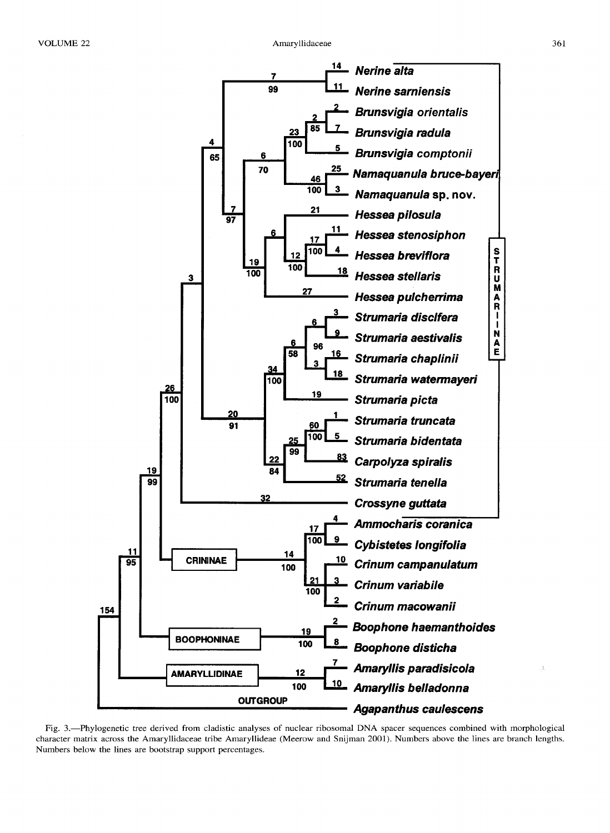

Fig. 3.-Phylogenetic tree derived from cladistic analyses of nuclear ribosomal DNA spacer sequences combined with morphological character matrix across tbe Amaryllidaceae tribe Amaryllideae (Meerow and Snijman 2001). Numbers above the lines are branch lengths. Numbers below the lines are bootstrap support percentages.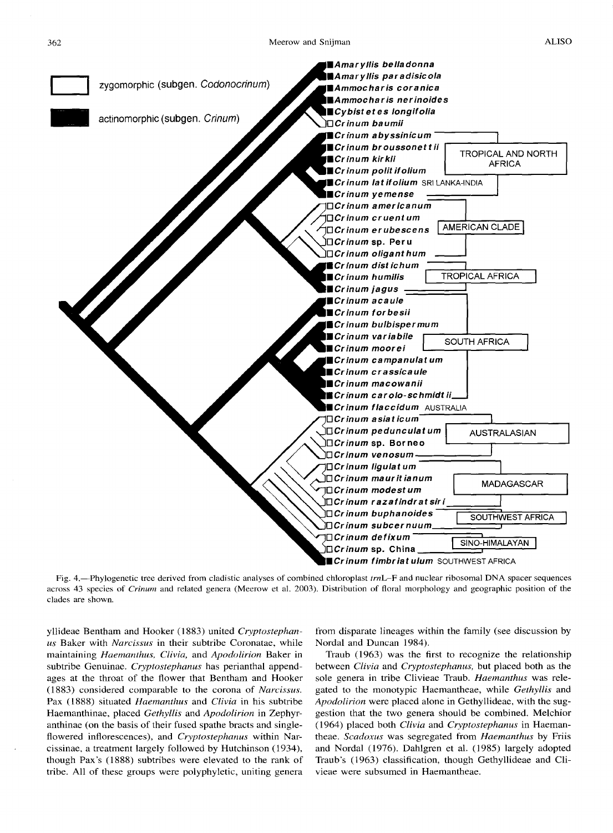

Fig. 4.-Phylogenetic tree derived from cladistic analyses of combined chloroplast *trnL-F* and nuclear ribosomal DNA spacer sequences across 43 species of *Crinum* and related genera (Meerow et al. 2003). Distribution of floral morphology and geographic position of the clades are shown.

yllideae Bentham and Hooker (1883) united *Cryptostephanus* Baker with *Narcissus* in their subtribe Coronatae, while maintaining *Haemanthus, Clivia,* and *Apodolirion* Baker in subtribe Genuinae. *Cryptostephanus* has perianthal appendages at the throat of the flower that Bentham and Hooker (1883) considered comparable to the corona of *Narcissus.*  Pax ( 1888) situated *Haemanthus* and *Clivia* in his subtribe Haemanthinae, placed *Gethyllis* and *Apodolirion* in Zephyranthinae (on the basis of their fused spathe bracts and singleflowered inflorescences), and *Cryptostephanus* within Narcissinae, a treatment largely followed by Hutchinson (1934), though Pax's (1888) subtribes were elevated to the rank of tribe. All of these groups were polyphyletic, uniting genera from disparate lineages within the family (see discussion by Nordal and Duncan 1984).

Traub (1963) was the first to recognize the relationship between *Clivia* and *Cryptostephanus,* but placed both as the sole genera in tribe Clivieae Traub. *Haemanthus* was relegated to the monotypic Haemantheae, while *Gethyllis* and *Apodolirion* were placed alone in Gethyllideae, with the suggestion that the two genera should be combined. Melchior (1964) placed both *Clivia* and *Cryptostephanus* in Haemantheae. *Scadoxus* was segregated from *Haemanthus* by Friis and Nordal (1976). Dahlgren et al. (1985) largely adopted Traub's (1963) classification, though Gethyllideae and Clivieae were subsumed in Haemantheae.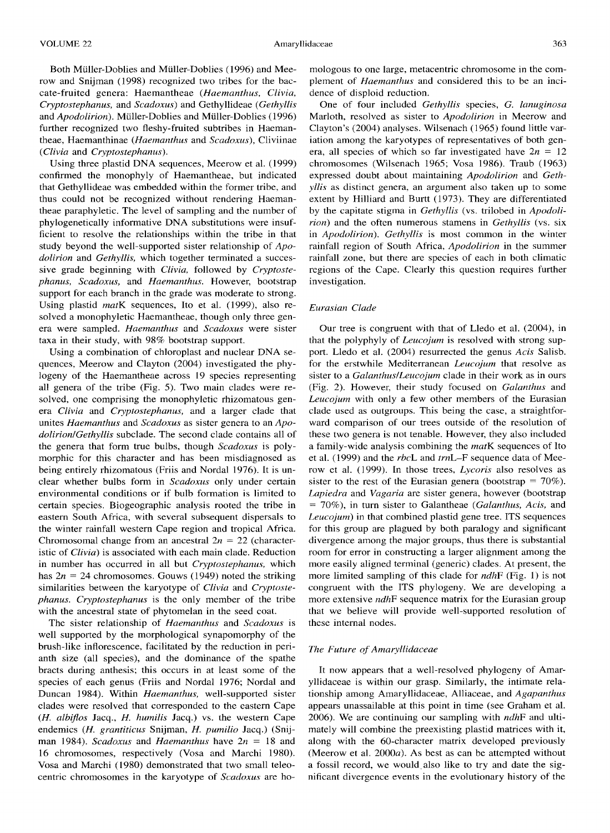Using three plastid DNA sequences, Meerow et al. (1999) confirmed the monophyly of Haemantheae, but indicated that Gethyllideae was embedded within the former tribe, and thus could not be recognized without rendering Haemantheae paraphyletic. The level of sampling and the number of phylogenetically informative DNA substitutions were insufficient to resolve the relationships within the tribe in that study beyond the well-supported sister relationship of *Apodolirion* and *Gethyllis,* which together terminated a successive grade beginning with *Clivia,* followed by *Cryptostephanus, Scadoxus,* and *Haemanthus.* However, bootstrap support for each branch in the grade was moderate to strong. Using plastid *matK* sequences, Ito et al. (1999), also resolved a monophyletic Haemantheae, though only three genera were sampled. *Haemanthus* and *Scadoxus* were sister taxa in their study, with 98% bootstrap support.

Using a combination of chloroplast and nuclear DNA sequences, Meerow and Clayton (2004) investigated the phylogeny of the Haemantheae across 19 species representing all genera of the tribe (Fig. 5). Two main clades were resolved, one comprising the monophyletic rhizomatous genera *Clivia* and *Cryptostephanus,* and a larger clade that unites *Haemanthus* and *Scadoxus* as sister genera to an *Apodolirion/Gethyllis* subclade. The second clade contains all of the genera that form true bulbs, though *Scadoxus* is polymorphic for this character and has been misdiagnosed as being entirely rhizomatous (Friis and Nordal 1976). It is unclear whether bulbs form in *Scadoxus* only under certain environmental conditions or if bulb formation is limited to certain species. Biogeographic analysis rooted the tribe in eastern South Africa, with several subsequent dispersals to the winter rainfall western Cape region and tropical Africa. Chromosomal change from an ancestral  $2n = 22$  (characteristic of *Clivia)* is associated with each main clade. Reduction in number has occurred in all but *Cryptostephanus,* which has  $2n = 24$  chromosomes. Gouws (1949) noted the striking similarities between the karyotype of *Clivia* and *Cryptostephanus. Cryptostephanus* is the only member of the tribe with the ancestral state of phytomelan in the seed coat.

The sister relationship of *Haemanthus* and *Scadoxus* is well supported by the morphological synapomorphy of the brush-like inflorescence, facilitated by the reduction in perianth size (all species), and the dominance of the spathe bracts during anthesis; this occurs in at least some of the species of each genus (Friis and Nordal 1976; Nordal and Duncan 1984). Within *Haemanthus*, well-supported sister clades were resolved that corresponded to the eastern Cape (H. *albiflos* Jacq., *H. humilis* Jacq.) vs. the western Cape endemics *(H. grantiticus* Snijman, *H. pumilio* Jacq.) (Snijman 1984). *Scadoxus* and *Haemanthus* have *2n* = 18 and 16 chromosomes, respectively (Vosa and Marchi 1980). Vosa and Marchi ( 1980) demonstrated that two small teleocentric chromosomes in the karyotype of *Scadoxus* are homologous to one large, metacentric chromosome in the complement of *Haemanthus* and considered this to be an incidence of disploid reduction.

One of four included *Gethyllis* species, G. *lanuginosa*  Marloth, resolved as sister to *Apodolirion* in Meerow and Clayton's (2004) analyses. Wilsenach (1965) found little variation among the karyotypes of representatives of both genera, all species of which so far investigated have  $2n = 12$ chromosomes (Wilsenach 1965; Vosa 1986). Traub ( 1963) expressed doubt about maintaining *Apodolirion* and *Gethyllis* as distinct genera, an argument also taken up to some extent by Hilliard and Burtt (1973). They are differentiated by the capitate stigma in *Gethyllis* (vs. trilobed in *Apodolirion)* and the often numerous stamens in *Gethyllis* (vs. six in *Apodolirion). Gethyllis* is most common in the winter rainfall region of South Africa, *Apodolirion* in the summer rainfall zone, but there are species of each in both climatic regions of the Cape. Clearly this question requires further investigation.

#### *Eurasian Clade*

Our tree is congruent with that of Lledo et al. (2004), in that the polyphyly of *Leucojum* is resolved with strong support. Lledo et al. (2004) resurrected the genus *Acis* Salisb. for the erstwhile Mediterranean *Leucojum* that resolve as sister to a *Galanthus/Leucojum* clade in their work as in ours (Fig. 2). However, their study focused on *Galanthus* and *Leucojum* with only a few other members of the Eurasian clade used as outgroups. This being the case, a straightforward comparison of our trees outside of the resolution of these two genera is not tenable. However, they also included a family-wide analysis combining the *matK* sequences of Ito et al. (1999) and the *rbcL* and *trnL-F* sequence data of Meerow et al. (1999). In those trees, *Lycoris* also resolves as sister to the rest of the Eurasian genera (bootstrap =  $70\%$ ). *Lapiedra* and *Vagaria* are sister genera, however (bootstrap <sup>=</sup>70%), in turn sister to Galantheae *(Galanthus, Acis,* and *Leucojum)* in that combined plastid gene tree. ITS sequences for this group are plagued by both paralogy and significant divergence among the major groups, thus there is substantial room for error in constructing a larger alignment among the more easily aligned terminal (generic) clades. At present, the more limited sampling of this clade for *ndhF* (Fig. 1) is not congruent with the ITS phylogeny. We are developing a more extensive *ndhF* sequence matrix for the Eurasian group that we believe will provide well-supported resolution of these internal nodes.

#### *The Future of Amaryllidaceae*

It now appears that a well-resolved phylogeny of Amaryllidaceae is within our grasp. Similarly, the intimate relationship among Amaryllidaceae, Alliaceae, and *Agapanthus*  appears unassailable at this point in time (see Graham et al. 2006). We are continuing our sampling with *ndhF* and ultimately will combine the preexisting plastid matrices with it, along with the 60-character matrix developed previously (Meerow et al. 2000a). As best as can be attempted without a fossil record, we would also like to try and date the significant divergence events in the evolutionary history of the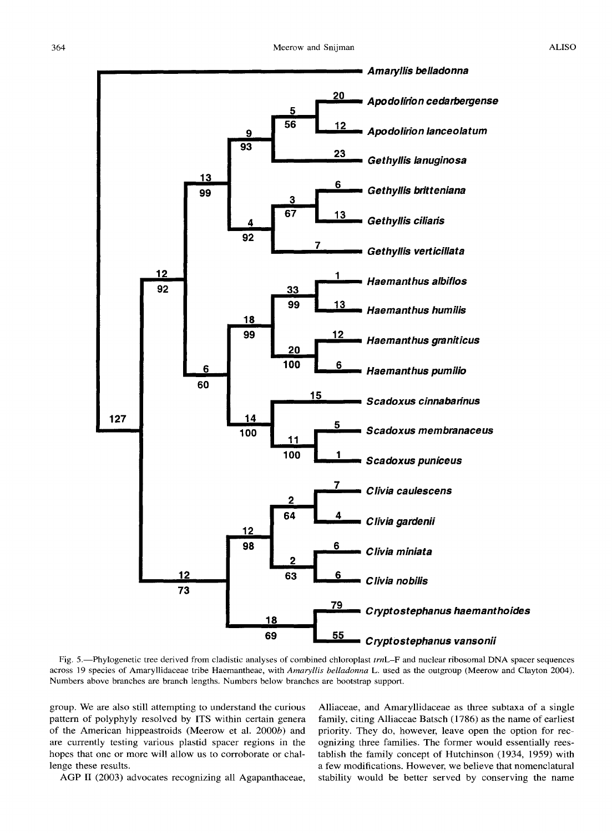

Fig. 5.-Phylogenetic tree derived from cladistic analyses of combined chloroplast *trnL-F* and nuclear ribosomal DNA spacer sequences across 19 species of Amaryllidaceae tribe Haemantheae, with *Amaryllis belladonna* L. used as the outgroup (Meerow and Clayton 2004). Numbers above branches are branch lengths. Numbers below branches are bootstrap support.

group. We are also still attempting to understand the curious pattern of polyphyly resolved by ITS within certain genera of the American hippeastroids (Meerow et al. 2000b) and are currently testing various plastid spacer regions in the hopes that one or more will allow us to corroborate or challenge these results.

AGP II (2003) advocates recognizing all Agapanthaceae,

Alliaceae, and Amaryllidaceae as three subtaxa of a single family, citing Alliaceae Batsch (1786) as the name of earliest priority. They do, however, leave open the option for recognizing three families. The former would essentially reestablish the family concept of Hutchinson (1934, 1959) with a few modifications. However, we believe that nomenclatural stability would be better served by conserving the name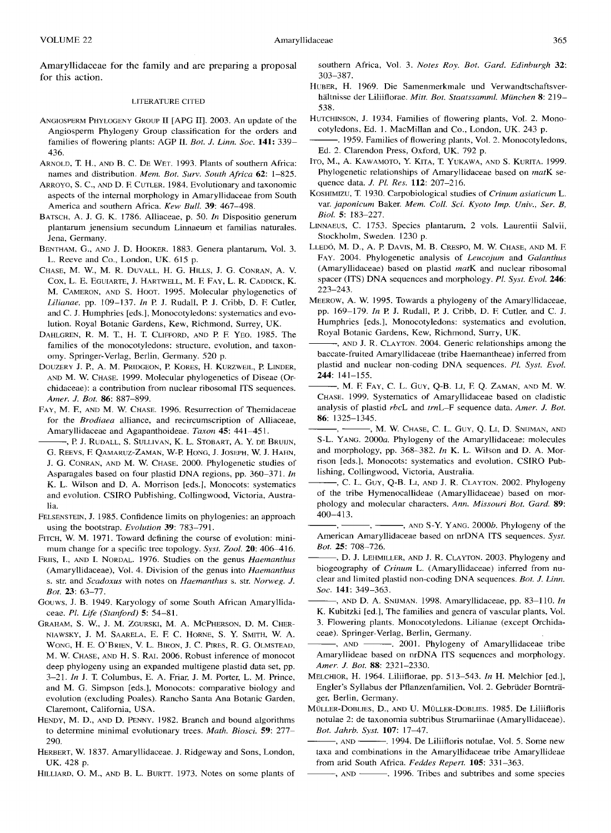Amaryllidaceae for the family and are preparing a proposal for this action.

#### LITERATURE CITED

- ANGIOSPERM PHYLOGENY GROUP II [APG II]. 2003. An update of the Angiosperm Phylogeny Group classification for the orders and families of flowering plants: AGP II. *Bot. J. Linn. Soc.* 141: 339- 436.
- ARNOLD, T. H., AND B. C. DE WET. 1993. Plants of southern Africa: names and distribution. *Mem. Bot. Surv. South Africa* 62: 1-825.
- ARROYO, S.C., AND D. F. CUTLER. 1984. Evolutionary and taxonomic aspects of the internal morphology in Amaryllidaceae from South America and southern Africa. *Kew Bull.* 39: 467-498.
- BATSCH, A. J. G. K. 1786. Alliaceae, p. 50. *In* Dispositio generum plantarum jenensium secundum Linnaeum et familias naturales. Jena, Germany.
- BENTHAM, G., AND J. D. HOOKER. 1883. Genera plantarum, Vol. 3. L. Reeve and Co., London, UK. 615 p.
- CHASE, M. W., M. R. DUVALL, H. G. HILLS, J. G. CONRAN, A. V. Cox, L. E. EGUIARTE, J. HARTWELL, M. F. FAY, L. R. CADDICK, K. M. CAMERON, AND S. HooT. 1995. Molecular phylogenetics of *Lilianae,* pp. 109-137. *In* P. J. Rudall, P. J. Cribb, D. F. Cutler, and C. J. Humphries [eds.], Monocotyledons: systematics and evolution. Royal Botanic Gardens, Kew, Richmond, Surrey, UK.
- DAHLGREN, R. M. T., H. T. CLIFFORD, AND P. F. YEO. 1985. The families of the monocotyledons: structure, evolution, and taxonomy. Springer-Verlag, Berlin, Germany. 520 p.
- DOUZERY J. P., A. M. PRIDGEON, P. KORES, H. KURZWEIL, P. LINDER, AND M. W. CHASE. 1999. Molecular phylogenetics of Diseae (Orchidaceae): a contribution from nuclear ribosomal ITS sequences. *Amer. J. Bot.* 86: 887-899.
- FAY, M. F., AND M. W. CHASE. 1996. Resurrection of Themidaceae for the *Brodiaea* alliance, and recircumscription of Alliaceae, Amaryllidaceae and Agapanthoideae. *Taxon* 45: 441-451.
- -, P. J. RUDALL, S. SULLIVAN, K. L. STOBART, A. Y. DE BRUIJN, G. REEVS, F. QAMARuz-ZAMAN, W-P. HoNG, J. JosEPH, W. J. HAHN, J. G. CONRAN, AND M. W. CHASE. 2000. Phylogenetic studies of Asparagales based on four plastid DNA regions, pp. 360-371. *In*  K. L. Wilson and D. A. Morrison [eds.], Monocots: systematics and evolution. CSIRO Publishing, Collingwood, Victoria, Australia.
- FELSENSTEIN, J. 1985. Confidence limits on phylogenies: an approach using the bootstrap. *Evolution* 39: 783-791.
- FITCH, W. M. 1971. Toward defining the course of evolution: minimum change for a specific tree topology. *Syst. Zool.* 20: 406-416.
- FRIIS, I., AND I. NORDAL. 1976. Studies on the genus *Haemanthus*  (Amaryllidaceae), Vol. 4. Division of the genus into *Haemanthus*  s. str. and *Scadoxus* with notes on *Haemanthus* s. str. *Norweg. J. Bot.* 23: 63-77.
- Gouws, J. B. 1949. Karyology of some South African Amaryllidaceae. *Pl. Life (Stanford)* 5: 54-81.
- GRAHAM, S. W., J. M. ZGURSKI, M. A. MCPHERSON, D. M. CHER-NIAWSKY, J. M. SAARELA, E. F. C. HoRNE, S. Y. SMITH, W. A. WONG, H. E. O'BRIEN, V. L. BIRON, J. C. PIRES, R. G. OLMSTEAD, M. W. CHASE, AND H. S. RAJ. 2006. Robust inference of monocot deep phylogeny using an expanded multigene plastid data set, pp. 3-21. *In* J. T. Columbus, E. A. Friar, J. M. Porter, L. M. Prince, and M. G. Simpson [eds.], Monocots: comparative biology and evolution (excluding Poales). Rancho Santa Ana Botanic Garden, Claremont, California, USA.
- HENDY, M. D., AND D. PENNY. 1982. Branch and bound algorithms to determine minimal evolutionary trees. *Math. Biosci.* 59: 277- 290.
- HERBERT, W. 1837. Amaryllidaceae.J. Ridgeway and Sons, London, UK. 428 p.
- HILLIARD, 0. M., AND B. L. BURTT. 1973. Notes on some plants of

southern Africa, Vol. 3. *Notes Roy. Bot. Card. Edinburgh* 32: 303-387.

- HuBER, H. 1969. Die Samenmerkmale und Verwandtschaftsverhaltnisse der Liliiflorae. *Mitt. Bot. Staatssamml. Miinchen* 8: 219- 538.
- HuTCHINSON, J. 1934. Families of flowering plants, Vol. 2. Monocotyledons, Ed. I. MacMillan and Co., London, UK. 243 p.
- -. 1959. Families of flowering plants, Vol. 2. Monocotyledons, Ed. 2. Clarendon Press, Oxford, UK. 792 p.
- ITO, M., A. KAWAMOTO, Y. KITA, T. YUKAWA, AND S. KURITA. 1999. Phylogenetic relationships of Amaryllidaceae based on *matK* sequence data. *J. Pl. Res.* 112: 207-216.
- KosHIMIZU, T. 1930. Carpobiological studies of *Crinum asiaticum* L. var. *japonicum* Baker. *Mem. Coil. Sci. Kyoto Imp. Univ., Ser. B, Bioi.* 5: 183-227.
- LINNAEUS, C. 1753. Species plantarum, 2 vols. Laurentii Salvii, Stockholm, Sweden. 1230 p.
- LLEDÓ, M. D., A. P. DAVIS, M. B. CRESPO, M. W. CHASE, AND M. F. FAY. 2004. Phylogenetic analysis of *Leucojum* and *Calanthus*  (Amaryllidaceae) based on plastid *matK* and nuclear ribosomal spacer (ITS) DNA sequences and morphology. *Pl. Syst. Evol.* 246: 223-243.
- MEEROW, A. W. 1995. Towards a phylogeny of the Amaryllidaceae, pp. 169-179. *In* P. J. Rudall, P. J. Cribb, D. F. Cutler, and C. J. Humphries [eds.], Monocotyledons: systematics and evolution, Royal Botanic Gardens, Kew, Richmond, Surry, UK.
- -, AND J. R. CLAYTON. 2004. Generic relationships among the baccate-fruited Amaryllidaceae (tribe Haemantheae) inferred from plastid and nuclear non-coding DNA sequences. *Pl. Syst. Evol.*  244: 141-155.
- ---, M. F. FAY, C. L. GuY, Q-B. Ll, F. Q. ZAMAN, AND M. W. CHASE. 1999. Systematics of Amaryllidaceae based on cladistic analysis of plastid *rbcL* and *trnL-F* sequence data. *Amer. J. Bot.*  86: 1325-1345.
- -, M. W. Chase, C. L. Guy, Q. Li, D. Snijman, and S-L. YANG. *2000a.* Phylogeny of the Amaryllidaceae: molecules and morphology, pp. 368-382. *In* K. L. Wilson and D. A. Morrison [eds.], Monocots: systematics and evolution. CSIRO Publishing, Collingwood, Victoria, Australia.
- -, C. L. GUY, Q-B. LI, AND J. R. CLAYTON. 2002. Phylogeny of the tribe Hymenocallideae (Amaryllidaceae) based on morphology and molecular characters. *Ann. Missouri Bot. Card.* 89: 400-413.
- $-$ , AND S-Y. YANG. 2000*b*. Phylogeny of the American Amaryllidaceae based on nrDNA ITS sequences. *Syst. Bot.* 25: 708-726.
- -, D. J. LEHMILLER, AND J. R. CLAYTON. 2003. Phylogeny and biogeography of *Crinum* L. (Amaryllidaceae) inferred from nuclear and limited plastid non-coding DNA sequences. *Bot. J. Linn. Soc.* 141: 349-363.
- ---,AND D. A. SNIJMAN. 1998. Amaryllidaceae, pp. 83-110. *In*  K. Kubitzki [ed.], The families and genera of vascular plants, Vol. 3. Flowering plants. Monocotyledons. Lilianae (except Orchidaceae). Springer-Verlag, Berlin, Germany.
- ---, AND ---. 2001. Phylogeny of Amaryllidaceae tribe Amaryllideae based on nrDNA ITS sequences and morphology. *Amer. J. Bot.* 88: 2321-2330.
- MELCHIOR, H. 1964. Liliiflorae, pp. 513-543. *In* H. Melchior [ed.], Engler's Syllabus der Pflanzenfamilien, Vol. 2. Gebriider Borntrager, Berlin, Germany.
- MÜLLER-DOBLIES, D., AND U. MÜLLER-DOBLIES. 1985. De Liliifloris notulae 2: de taxonomia subtribus Strumariinae (Amaryllidaceae). *Bot. Jahrb. Syst.* 107: 17-47.
- -, AND -------------. 1994. De Liliifloris notulae, Vol. 5. Some new taxa and combinations in the Amaryllidaceae tribe Amaryllideae from arid South Africa. *Feddes Repert.* 105: 331-363.

---, AND ---. 1996. Tribes and subtribes and some species